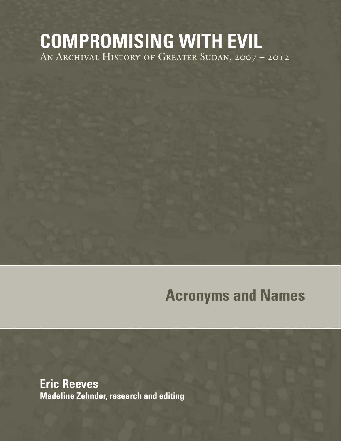## **COMPROMISING WITH EVIL** An Archival History of Greater Sudan, 2007 – 2012

# **Acronyms and Names**

**Eric Reeves Madeline Zehnder, research and editing**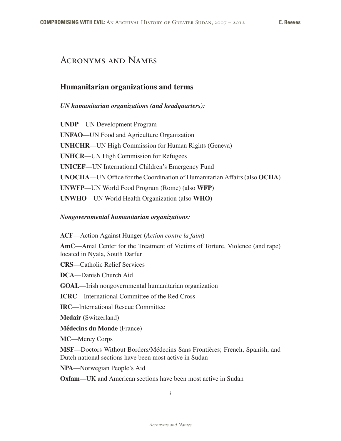## ACRONYMS AND NAMES

## Humanitarian organizations and terms

*UN humanitarian organizations (and headquarters):*

UNDP—UN Development Program UNFAO—UN Food and Agriculture Organization UNHCHR—UN High Commission for Human Rights (Geneva) UNHCR—UN High Commission for Refugees UNICEF—UN International Children's Emergency Fund UNOCHA—UN Office for the Coordination of Humanitarian Affairs (also OCHA) UNWFP—UN World Food Program (Rome) (also WFP) UNWHO—UN World Health Organization (also WHO)

#### *Nongovernmental humanitarian organizations:*

ACF—Action Against Hunger (*Action contre la faim*) AmC—Amal Center for the Treatment of Victims of Torture, Violence (and rape) located in Nyala, South Darfur CRS—Catholic Relief Services DCA—Danish Church Aid GOAL—Irish nongovernmental humanitarian organization ICRC—International Committee of the Red Cross IRC—International Rescue Committee Medair (Switzerland) Médecins du Monde (France) MC—Mercy Corps MSF—Doctors Without Borders/Médecins Sans Frontières; French, Spanish, and Dutch national sections have been most active in Sudan NPA—Norwegian People's Aid

Oxfam—UK and American sections have been most active in Sudan

xv*i*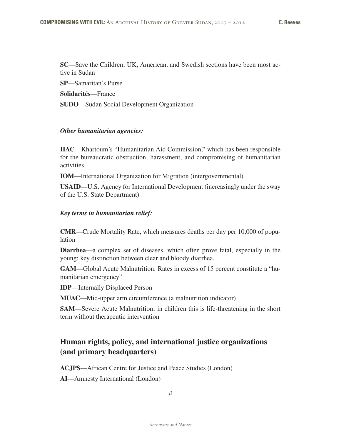SC—Save the Children; UK, American, and Swedish sections have been most active in Sudan SP—Samaritan's Purse Solidarités—France SUDO—Sudan Social Development Organization

#### *Other humanitarian agencies:*

HAC—Khartoum's "Humanitarian Aid Commission," which has been responsible for the bureaucratic obstruction, harassment, and compromising of humanitarian activities

IOM—International Organization for Migration (intergovernmental)

USAID—U.S. Agency for International Development (increasingly under the sway of the U.S. State Department)

#### *Key terms in humanitarian relief:*

CMR—Crude Mortality Rate, which measures deaths per day per 10,000 of population

Diarrhea—a complex set of diseases, which often prove fatal, especially in the young; key distinction between clear and bloody diarrhea.

GAM—Global Acute Malnutrition. Rates in excess of 15 percent constitute a "humanitarian emergency"

IDP—Internally Displaced Person

MUAC—Mid-upper arm circumference (a malnutrition indicator)

SAM—Severe Acute Malnutrition; in children this is life-threatening in the short term without therapeutic intervention

## Human rights, policy, and international justice organizations (and primary headquarters)

ACJPS—African Centre for Justice and Peace Studies (London)

AI—Amnesty International (London)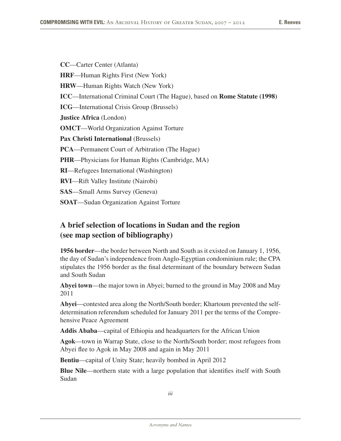CC—Carter Center (Atlanta)

HRF—Human Rights First (New York)

HRW—Human Rights Watch (New York)

ICC—International Criminal Court (The Hague), based on Rome Statute (1998)

ICG—International Crisis Group (Brussels)

Justice Africa (London)

OMCT—World Organization Against Torture

Pax Christi International (Brussels)

PCA—Permanent Court of Arbitration (The Hague)

PHR—Physicians for Human Rights (Cambridge, MA)

RI—Refugees International (Washington)

RVI—Rift Valley Institute (Nairobi)

SAS—Small Arms Survey (Geneva)

SOAT—Sudan Organization Against Torture

## A brief selection of locations in Sudan and the region (see map section of bibliography)

1956 border—the border between North and South as it existed on January 1, 1956, the day of Sudan's independence from Anglo-Egyptian condominium rule; the CPA stipulates the 1956 border as the final determinant of the boundary between Sudan and South Sudan

Abyei town—the major town in Abyei; burned to the ground in May 2008 and May 2011

Abyei—contested area along the North/South border; Khartoum prevented the selfdetermination referendum scheduled for January 2011 per the terms of the Comprehensive Peace Agreement

Addis Ababa—capital of Ethiopia and headquarters for the African Union

Agok—town in Warrap State, close to the North/South border; most refugees from Abyei flee to Agok in May 2008 and again in May 2011

Bentiu—capital of Unity State; heavily bombed in April 2012

Blue Nile—northern state with a large population that identifies itself with South Sudan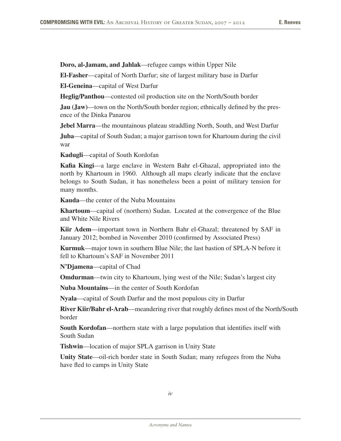Doro, al-Jamam, and Jahlak—refugee camps within Upper Nile

El-Fasher—capital of North Darfur; site of largest military base in Darfur

El-Geneina—capital of West Darfur

Heglig/Panthou—contested oil production site on the North/South border

**Jau (Jaw)**—town on the North/South border region; ethnically defined by the presence of the Dinka Panarou

**Jebel Marra—the mountainous plateau straddling North, South, and West Darfur** 

Juba—capital of South Sudan; a major garrison town for Khartoum during the civil war

Kadugli—capital of South Kordofan

Kafia Kingi—a large enclave in Western Bahr el-Ghazal, appropriated into the north by Khartoum in 1960. Although all maps clearly indicate that the enclave belongs to South Sudan, it has nonetheless been a point of military tension for many months.

Kauda—the center of the Nuba Mountains

Khartoum—capital of (northern) Sudan. Located at the convergence of the Blue and White Nile Rivers

Kiir Adem—important town in Northern Bahr el-Ghazal; threatened by SAF in January 2012; bombed in November 2010 (confirmed by Associated Press)

Kurmuk—major town in southern Blue Nile; the last bastion of SPLA-N before it fell to Khartoum's SAF in November 2011

N'Djamena—capital of Chad

Omdurman—twin city to Khartoum, lying west of the Nile; Sudan's largest city

Nuba Mountains—in the center of South Kordofan

Nyala—capital of South Darfur and the most populous city in Darfur

River Kiir/Bahr el-Arab—meandering river that roughly defines most of the North/South border

South Kordofan—northern state with a large population that identifies itself with South Sudan

Tishwin—location of major SPLA garrison in Unity State

Unity State—oil-rich border state in South Sudan; many refugees from the Nuba have fled to camps in Unity State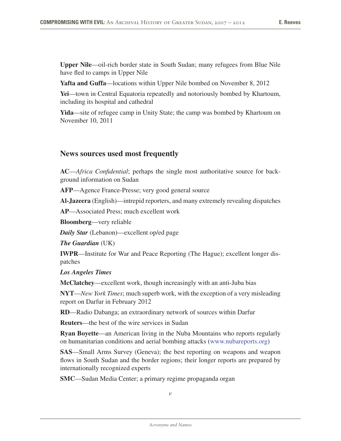Upper Nile—oil-rich border state in South Sudan; many refugees from Blue Nile have fled to camps in Upper Nile

Yafta and Guffa—locations within Upper Nile bombed on November 8, 2012

Yei—town in Central Equatoria repeatedly and notoriously bombed by Khartoum, including its hospital and cathedral

Yida—site of refugee camp in Unity State; the camp was bombed by Khartoum on November 10, 2011

### News sources used most frequently

AC—*Africa Confidential*; perhaps the single most authoritative source for background information on Sudan

AFP—Agence France-Presse; very good general source

Al-Jazeera (English)—intrepid reporters, and many extremely revealing dispatches

AP—Associated Press; much excellent work

Bloomberg—very reliable

*Daily Star* (Lebanon)—excellent op/ed page

*The Guardian* (UK)

IWPR—Institute for War and Peace Reporting (The Hague); excellent longer dispatches

*Los Angeles Times*

McClatchey—excellent work, though increasingly with an anti-Juba bias

NYT—*New York Times*; much superb work, with the exception of a very misleading report on Darfur in February 2012

RD—Radio Dabanga; an extraordinary network of sources within Darfur

Reuters—the best of the wire services in Sudan

Ryan Boyette—an American living in the Nuba Mountains who reports regularly on humanitarian conditions and aerial bombing attacks (www.nubareports.org)

SAS—Small Arms Survey (Geneva); the best reporting on weapons and weapon flows in South Sudan and the border regions; their longer reports are prepared by internationally recognized experts

SMC—Sudan Media Center; a primary regime propaganda organ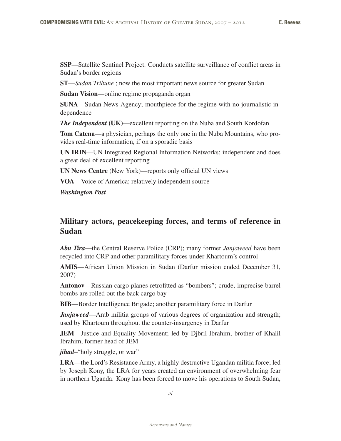SSP—Satellite Sentinel Project. Conducts satellite surveillance of conflict areas in Sudan's border regions

ST—*Sudan Tribune* ; now the most important news source for greater Sudan

Sudan Vision—online regime propaganda organ

SUNA—Sudan News Agency; mouthpiece for the regime with no journalistic independence

*The Independent* (UK)—excellent reporting on the Nuba and South Kordofan

Tom Catena—a physician, perhaps the only one in the Nuba Mountains, who provides real-time information, if on a sporadic basis

UN IRIN—UN Integrated Regional Information Networks; independent and does a great deal of excellent reporting

UN News Centre (New York)—reports only official UN views

VOA—Voice of America; relatively independent source

*Washington Post*

## Military actors, peacekeeping forces, and terms of reference in Sudan

*Abu Tira*—the Central Reserve Police (CRP); many former *Janjaweed* have been recycled into CRP and other paramilitary forces under Khartoum's control

AMIS—African Union Mission in Sudan (Darfur mission ended December 31, 2007)

Antonov—Russian cargo planes retrofitted as "bombers"; crude, imprecise barrel bombs are rolled out the back cargo bay

BIB—Border Intelligence Brigade; another paramilitary force in Darfur

*Janjaweed*—Arab militia groups of various degrees of organization and strength; used by Khartoum throughout the counter-insurgency in Darfur

**JEM—Justice and Equality Movement; led by Djbril Ibrahim, brother of Khalil** Ibrahim, former head of JEM

*jihad*–"holy struggle, or war"

LRA—the Lord's Resistance Army, a highly destructive Ugandan militia force; led by Joseph Kony, the LRA for years created an environment of overwhelming fear in northern Uganda. Kony has been forced to move his operations to South Sudan,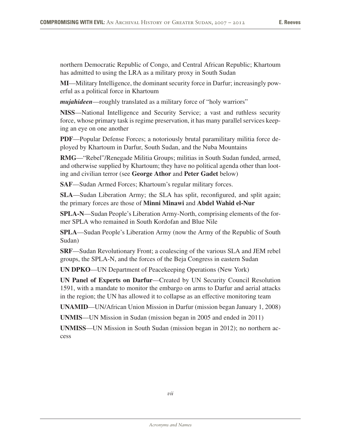northern Democratic Republic of Congo, and Central African Republic; Khartoum has admitted to using the LRA as a military proxy in South Sudan

MI—Military Intelligence, the dominant security force in Darfur; increasingly powerful as a political force in Khartoum

*mujahideen*—roughly translated as a military force of "holy warriors"

NISS—National Intelligence and Security Service; a vast and ruthless security force, whose primary task is regime preservation, it has many parallel services keeping an eye on one another

PDF—Popular Defense Forces; a notoriously brutal paramilitary militia force deployed by Khartoum in Darfur, South Sudan, and the Nuba Mountains

RMG—"Rebel"/Renegade Militia Groups; militias in South Sudan funded, armed, and otherwise supplied by Khartoum; they have no political agenda other than looting and civilian terror (see George Athor and Peter Gadet below)

SAF—Sudan Armed Forces; Khartoum's regular military forces.

SLA—Sudan Liberation Army; the SLA has split, reconfigured, and split again; the primary forces are those of Minni Minawi and Abdel Wahid el-Nur

SPLA-N—Sudan People's Liberation Army-North, comprising elements of the former SPLA who remained in South Kordofan and Blue Nile

SPLA—Sudan People's Liberation Army (now the Army of the Republic of South Sudan)

SRF—Sudan Revolutionary Front; a coalescing of the various SLA and JEM rebel groups, the SPLA-N, and the forces of the Beja Congress in eastern Sudan

UN DPKO—UN Department of Peacekeeping Operations (New York)

UN Panel of Experts on Darfur—Created by UN Security Council Resolution 1591, with a mandate to monitor the embargo on arms to Darfur and aerial attacks in the region; the UN has allowed it to collapse as an effective monitoring team

UNAMID—UN/African Union Mission in Darfur (mission began January 1, 2008)

UNMIS—UN Mission in Sudan (mission began in 2005 and ended in 2011)

UNMISS—UN Mission in South Sudan (mission began in 2012); no northern access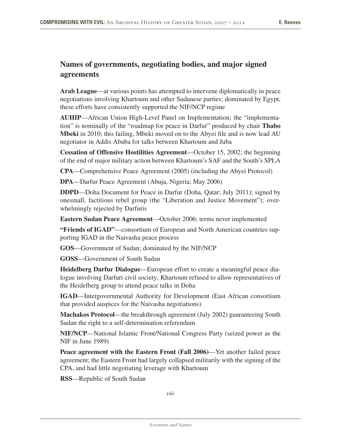## Names of governments, negotiating bodies, and major signed agreements

Arab League—at various points has attempted to intervene diplomatically in peace negotiations involving Khartoum and other Sudanese parties; dominated by Egypt, these efforts have consistently supported the NIF/NCP regime

AUHIP—African Union High-Level Panel on Implementation; the "implementation" is nominally of the "roadmap for peace in Darfur" produced by chair **Thabo** Mbeki in 2010; this failing, Mbeki moved on to the Abyei file and is now lead AU negotiator in Addis Ababa for talks between Khartoum and Juba

Cessation of Offensive Hostilities Agreement—October 15, 2002; the beginning of the end of major military action between Khartoum's SAF and the South's SPLA

CPA—Comprehensive Peace Agreement (2005) (including the Abyei Protocol)

DPA—Darfur Peace Agreement (Abuja, Nigeria; May 2006)

DDPD—Doha Document for Peace in Darfur (Doha, Qatar; July 2011); signed by onesmall, factitious rebel group (the "Liberation and Justice Movement"); overwhelmingly rejected by Darfuris

Eastern Sudan Peace Agreement—October 2006; terms never implemented

"Friends of IGAD"—consortium of European and North American countries supporting IGAD in the Naivasha peace process

GOS—Government of Sudan; dominated by the NIF/NCP

GOSS—Government of South Sudan

Heidelberg Darfur Dialogue—European effort to create a meaningful peace dialogue involving Darfuri civil society; Khartoum refused to allow representatives of the Heidelberg group to attend peace talks in Doha

IGAD—Intergovernmental Authority for Development (East African consortium that provided auspices for the Naivasha negotiations)

Machakos Protocol—the breakthrough agreement (July 2002) guaranteeing South Sudan the right to a self-determination referendum

NIF/NCP—National Islamic Front/National Congress Party (seized power as the NIF in June 1989)

Peace agreement with the Eastern Front (Fall 2006)—Yet another failed peace agreement; the Eastern Front had largely collapsed militarily with the signing of the CPA, and had little negotiating leverage with Khartoum

RSS—Republic of South Sudan

xxii *viii*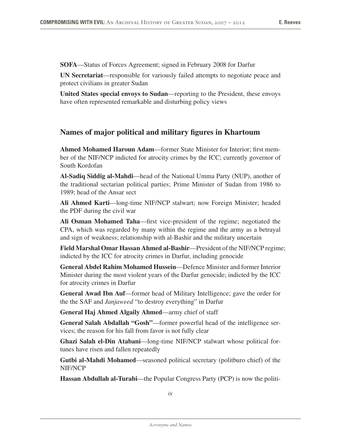SOFA—Status of Forces Agreement; signed in February 2008 for Darfur

UN Secretariat—responsible for variously failed attempts to negotiate peace and protect civilians in greater Sudan

United States special envoys to Sudan—reporting to the President, these envoys have often represented remarkable and disturbing policy views

### Names of major political and military figures in Khartoum

Ahmed Mohamed Haroun Adam—former State Minister for Interior; first member of the NIF/NCP indicted for atrocity crimes by the ICC; currently governor of South Kordofan

Al-Sadiq Siddig al-Mahdi—head of the National Umma Party (NUP), another of the traditional sectarian political parties; Prime Minister of Sudan from 1986 to 1989; head of the Ansar sect

Ali Ahmed Karti—long-time NIF/NCP stalwart; now Foreign Minister; headed the PDF during the civil war

Ali Osman Mohamed Taha—first vice-president of the regime; negotiated the CPA, which was regarded by many within the regime and the army as a betrayal and sign of weakness; relationship with al-Bashir and the military uncertain

Field Marshal Omar Hassan Ahmed al-Bashir—President of the NIF/NCP regime; indicted by the ICC for atrocity crimes in Darfur, including genocide

General Abdel Rahim Mohamed Hussein—Defence Minister and former Interior Minister during the most violent years of the Darfur genocide; indicted by the ICC for atrocity crimes in Darfur

General Awad Ibn Auf—former head of Military Intelligence; gave the order for the the SAF and *Janjaweed* "to destroy everything" in Darfur

General Haj Ahmed Algaily Ahmed—army chief of staff

General Salah Abdallah "Gosh"—former powerful head of the intelligence services; the reason for his fall from favor is not fully clear

Ghazi Salah el-Din Atabani—long-time NIF/NCP stalwart whose political fortunes have risen and fallen repeatedly

Gutbi al-Mahdi Mohamed—seasoned political secretary (politburo chief) of the NIF/NCP

Hassan Abdullah al-Turabi—the Popular Congress Party (PCP) is now the politi-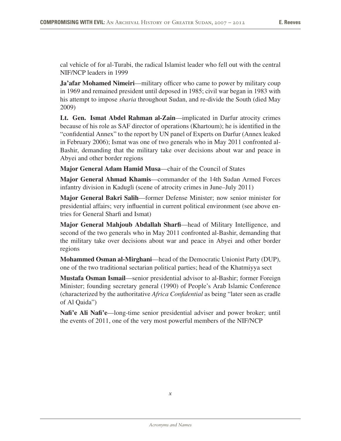cal vehicle of for al-Turabi, the radical Islamist leader who fell out with the central NIF/NCP leaders in 1999

**Ja'afar Mohamed Nimeiri—military officer who came to power by military coup** in 1969 and remained president until deposed in 1985; civil war began in 1983 with his attempt to impose *sharia* throughout Sudan, and re-divide the South (died May 2009)

Lt. Gen. Ismat Abdel Rahman al-Zain—implicated in Darfur atrocity crimes because of his role as SAF director of operations (Khartoum); he is identified in the "confidential Annex" to the report by UN panel of Experts on Darfur (Annex leaked in February 2006); Ismat was one of two generals who in May 2011 confronted al-Bashir, demanding that the military take over decisions about war and peace in Abyei and other border regions

Major General Adam Hamid Musa—chair of the Council of States

Major General Ahmad Khamis—commander of the 14th Sudan Armed Forces infantry division in Kadugli (scene of atrocity crimes in June–July 2011)

Major General Bakri Salih—former Defense Minister; now senior minister for presidential affairs; very influential in current political environment (see above entries for General Sharfi and Ismat)

Major General Mahjoub Abdallah Sharfi—head of Military Intelligence, and second of the two generals who in May 2011 confronted al-Bashir, demanding that the military take over decisions about war and peace in Abyei and other border regions

Mohammed Osman al-Mirghani—head of the Democratic Unionist Party (DUP), one of the two traditional sectarian political parties; head of the Khatmiyya sect

Mustafa Osman Ismail—senior presidential advisor to al-Bashir; former Foreign Minister; founding secretary general (1990) of People's Arab Islamic Conference (characterized by the authoritative *Africa Confidential* as being "later seen as cradle of Al Qaida")

Nafi'e Ali Nafi'e—long-time senior presidential adviser and power broker; until the events of 2011, one of the very most powerful members of the NIF/NCP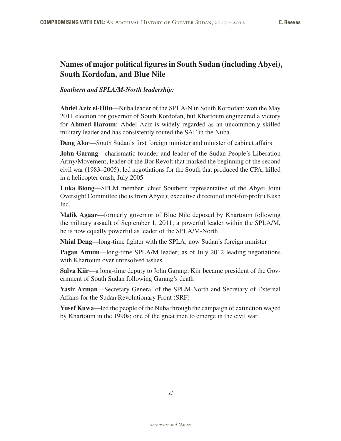## Names of major political figures in South Sudan (including Abyei), South Kordofan, and Blue Nile

#### *Southern and SPLA/M-North leadership:*

Abdel Aziz el-Hilu—Nuba leader of the SPLA-N in South Kordofan; won the May 2011 election for governor of South Kordofan, but Khartoum engineered a victory for Ahmed Haroun; Abdel Aziz is widely regarded as an uncommonly skilled military leader and has consistently routed the SAF in the Nuba

Deng Alor—South Sudan's first foreign minister and minister of cabinet affairs

John Garang-charismatic founder and leader of the Sudan People's Liberation Army/Movement; leader of the Bor Revolt that marked the beginning of the second civil war (1983–2005); led negotiations for the South that produced the CPA; killed in a helicopter crash, July 2005

Luka Biong—SPLM member; chief Southern representative of the Abyei Joint Oversight Committee (he is from Abyei); executive director of (not-for-profit) Kush Inc.

Malik Agaar—formerly governor of Blue Nile deposed by Khartoum following the military assault of September 1, 2011; a powerful leader within the SPLA/M, he is now equally powerful as leader of the SPLA/M-North

Nhial Deng—long-time fighter with the SPLA; now Sudan's foreign minister

Pagan Amum—long-time SPLA/M leader; as of July 2012 leading negotiations with Khartoum over unresolved issues

Salva Kiir—a long-time deputy to John Garang, Kiir became president of the Government of South Sudan following Garang's death

Yasir Arman—Secretary General of the SPLM-North and Secretary of External Affairs for the Sudan Revolutionary Front (SRF)

Yusef Kuwa—led the people of the Nuba through the campaign of extinction waged by Khartoum in the 1990s; one of the great men to emerge in the civil war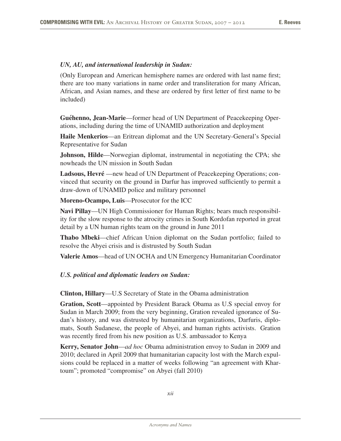#### *UN, AU, and international leadership in Sudan:*

(Only European and American hemisphere names are ordered with last name first; there are too many variations in name order and transliteration for many African, African, and Asian names, and these are ordered by first letter of first name to be included)

Guéhenno, Jean-Marie—former head of UN Department of Peacekeeping Operations, including during the time of UNAMID authorization and deployment

Haile Menkerios—an Eritrean diplomat and the UN Secretary-General's Special Representative for Sudan

**Johnson, Hilde—**Norwegian diplomat, instrumental in negotiating the CPA; she nowheads the UN mission in South Sudan

**Ladsous, Hevré** —new head of UN Department of Peacekeeping Operations; convinced that security on the ground in Darfur has improved sufficiently to permit a draw-down of UNAMID police and military personnel

Moreno-Ocampo, Luis—Prosecutor for the ICC

Navi Pillay—UN High Commissioner for Human Rights; bears much responsibility for the slow response to the atrocity crimes in South Kordofan reported in great detail by a UN human rights team on the ground in June 2011

Thabo Mbeki—chief African Union diplomat on the Sudan portfolio; failed to resolve the Abyei crisis and is distrusted by South Sudan

Valerie Amos—head of UN OCHA and UN Emergency Humanitarian Coordinator

#### *U.S. political and diplomatic leaders on Sudan:*

Clinton, Hillary—U.S Secretary of State in the Obama administration

Gration, Scott—appointed by President Barack Obama as U.S special envoy for Sudan in March 2009; from the very beginning, Gration revealed ignorance of Sudan's history, and was distrusted by humanitarian organizations, Darfuris, diplomats, South Sudanese, the people of Abyei, and human rights activists. Gration was recently fired from his new position as U.S. ambassador to Kenya

Kerry, Senator John—*ad hoc* Obama administration envoy to Sudan in 2009 and 2010; declared in April 2009 that humanitarian capacity lost with the March expulsions could be replaced in a matter of weeks following "an agreement with Khartoum"; promoted "compromise" on Abyei (fall 2010)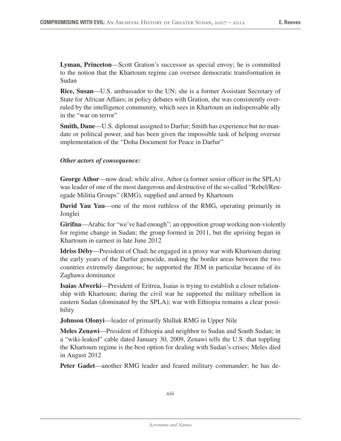Lyman, Princeton—Scott Gration's successor as special envoy; he is committed to the notion that the Khartoum regime can oversee democratic transformation in Sudan

Rice, Susan—U.S. ambassador to the UN; she is a former Assistant Secretary of State for African Affairs; in policy debates with Gration, she was consistently overruled by the intelligence community, which sees in Khartoum an indispensable ally in the "war on terror"

Smith, Dane—U.S. diplomat assigned to Darfur; Smith has experience but no mandate or political power, and has been given the impossible task of helping oversee implementation of the "Doha Document for Peace in Darfur"

#### *Other actors of consequence:*

George Athor—now dead; while alive, Athor (a former senior officer in the SPLA) was leader of one of the most dangerous and destructive of the so-called "Rebel/Renegade Militia Groups" (RMG), supplied and armed by Khartoum

David Yau Yau—one of the most ruthless of the RMG, operating primarily in Jonglei

Girifna—Arabic for "we've had enough"; an opposition group working non-violently for regime change in Sudan; the group formed in 2011, but the uprising began in Khartoum in earnest in late June 2012

**Idriss Déby—President of Chad; he engaged in a proxy war with Khartoum during** the early years of the Darfur genocide, making the border areas between the two countries extremely dangerous; he supported the JEM in particular because of its Zaghawa dominance

Isaias Afwerki—President of Eritrea, Isaias is trying to establish a closer relationship with Khartoum; during the civil war he supported the military rebellion in eastern Sudan (dominated by the SPLA); war with Ethiopia remains a clear possibility

**Johnson Olonyi**—leader of primarily Shilluk RMG in Upper Nile

Meles Zenawi—President of Ethiopia and neighbor to Sudan and South Sudan; in a "wiki-leaked" cable dated January 30, 2009, Zenawi tells the U.S. that toppling the Khartoum regime is the best option for dealing with Sudan's crises; Meles died in August 2012

Peter Gadet—another RMG leader and feared military commander; he has de-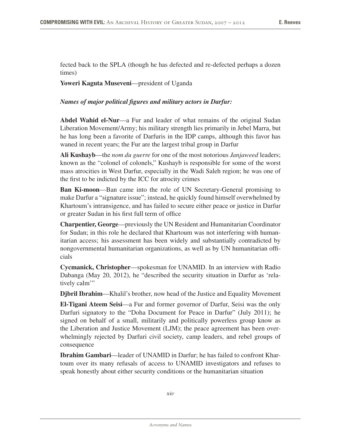fected back to the SPLA (though he has defected and re-defected perhaps a dozen times)

Yoweri Kaguta Museveni—president of Uganda

#### *Names of major political figures and military actors in Darfur:*

Abdel Wahid el-Nur—a Fur and leader of what remains of the original Sudan Liberation Movement/Army; his military strength lies primarily in Jebel Marra, but he has long been a favorite of Darfuris in the IDP camps, although this favor has waned in recent years; the Fur are the largest tribal group in Darfur

Ali Kushayb—the *nom du guerre* for one of the most notorious *Janjaweed* leaders; known as the "colonel of colonels," Kushayb is responsible for some of the worst mass atrocities in West Darfur, especially in the Wadi Saleh region; he was one of the first to be indicted by the ICC for atrocity crimes

Ban Ki-moon—Ban came into the role of UN Secretary-General promising to make Darfur a "signature issue"; instead, he quickly found himself overwhelmed by Khartoum's intransigence, and has failed to secure either peace or justice in Darfur or greater Sudan in his first full term of office

Charpentier, George—previously the UN Resident and Humanitarian Coordinator for Sudan; in this role he declared that Khartoum was not interfering with humanitarian access; his assessment has been widely and substantially contradicted by nongovernmental humanitarian organizations, as well as by UN humanitarian officials

Cycmanick, Christopher—spokesman for UNAMID. In an interview with Radio Dabanga (May 20, 2012), he "described the security situation in Darfur as 'relatively calm"

Djbril Ibrahim—Khalil's brother, now head of the Justice and Equality Movement

El-Tigani Ateem Seisi—a Fur and former governor of Darfur, Seisi was the only Darfuri signatory to the "Doha Document for Peace in Darfur" (July 2011); he signed on behalf of a small, militarily and politically powerless group know as the Liberation and Justice Movement (LJM); the peace agreement has been overwhelmingly rejected by Darfuri civil society, camp leaders, and rebel groups of consequence

Ibrahim Gambari—leader of UNAMID in Darfur; he has failed to confront Khartoum over its many refusals of access to UNAMID investigators and refuses to speak honestly about either security conditions or the humanitarian situation